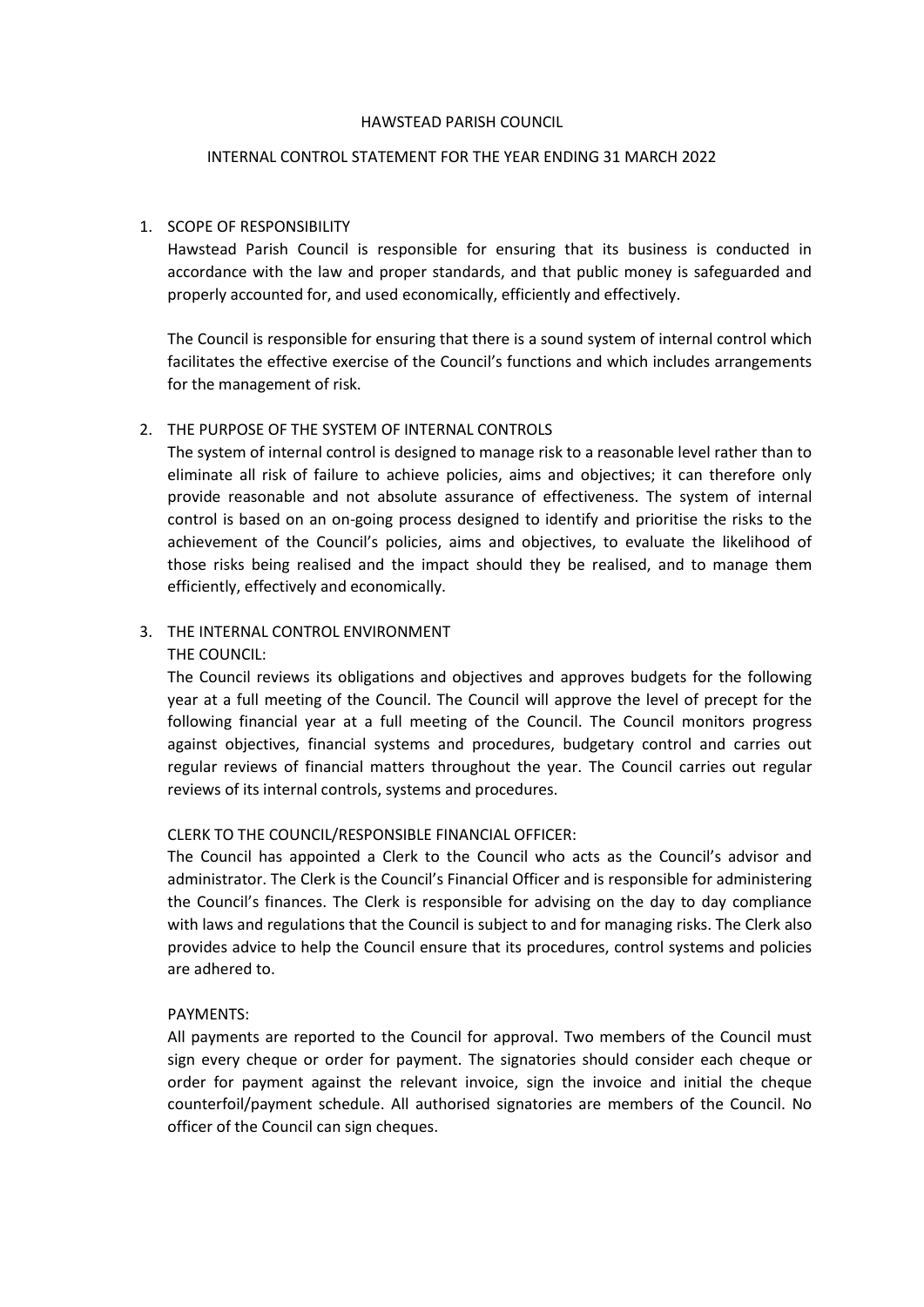#### HAWSTEAD PARISH COUNCIL

#### INTERNAL CONTROL STATEMENT FOR THE YEAR ENDING 31 MARCH 2022

## 1. SCOPE OF RESPONSIBILITY

Hawstead Parish Council is responsible for ensuring that its business is conducted in accordance with the law and proper standards, and that public money is safeguarded and properly accounted for, and used economically, efficiently and effectively.

The Council is responsible for ensuring that there is a sound system of internal control which facilitates the effective exercise of the Council's functions and which includes arrangements for the management of risk.

## 2. THE PURPOSE OF THE SYSTEM OF INTERNAL CONTROLS

The system of internal control is designed to manage risk to a reasonable level rather than to eliminate all risk of failure to achieve policies, aims and objectives; it can therefore only provide reasonable and not absolute assurance of effectiveness. The system of internal control is based on an on-going process designed to identify and prioritise the risks to the achievement of the Council's policies, aims and objectives, to evaluate the likelihood of those risks being realised and the impact should they be realised, and to manage them efficiently, effectively and economically.

# 3. THE INTERNAL CONTROL ENVIRONMENT

THE COUNCIL:

The Council reviews its obligations and objectives and approves budgets for the following year at a full meeting of the Council. The Council will approve the level of precept for the following financial year at a full meeting of the Council. The Council monitors progress against objectives, financial systems and procedures, budgetary control and carries out regular reviews of financial matters throughout the year. The Council carries out regular reviews of its internal controls, systems and procedures.

## CLERK TO THE COUNCIL/RESPONSIBLE FINANCIAL OFFICER:

The Council has appointed a Clerk to the Council who acts as the Council's advisor and administrator. The Clerk is the Council's Financial Officer and is responsible for administering the Council's finances. The Clerk is responsible for advising on the day to day compliance with laws and regulations that the Council is subject to and for managing risks. The Clerk also provides advice to help the Council ensure that its procedures, control systems and policies are adhered to.

#### PAYMENTS:

All payments are reported to the Council for approval. Two members of the Council must sign every cheque or order for payment. The signatories should consider each cheque or order for payment against the relevant invoice, sign the invoice and initial the cheque counterfoil/payment schedule. All authorised signatories are members of the Council. No officer of the Council can sign cheques.